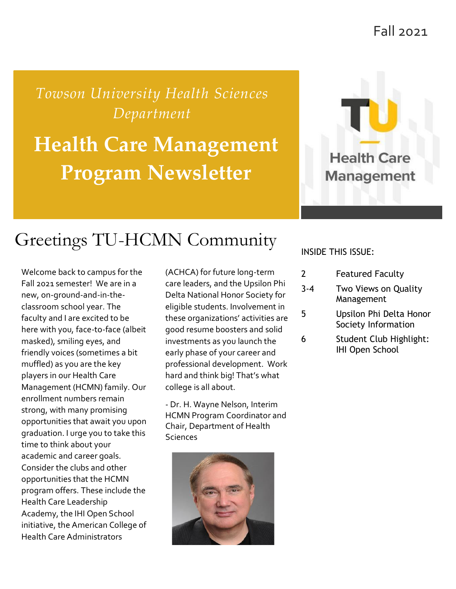Fall 2021

*Towson University Health Sciences Department*

# **Health Care Management Program Newsletter**



## Greetings TU-HCMN Community

Welcome back to campus for the Fall 2021 semester! We are in a new, on-ground-and-in-theclassroom school year. The faculty and I are excited to be here with you, face-to-face (albeit masked), smiling eyes, and friendly voices (sometimes a bit muffled) as you are the key players in our Health Care Management (HCMN) family. Our enrollment numbers remain strong, with many promising opportunities that await you upon graduation. I urge you to take this time to think about your academic and career goals. Consider the clubs and other opportunities that the HCMN program offers. These include the Health Care Leadership Academy, the IHI Open School initiative, the American College of Health Care Administrators

(ACHCA) for future long-term care leaders, and the Upsilon Phi Delta National Honor Society for eligible students. Involvement in these organizations' activities are good resume boosters and solid investments as you launch the early phase of your career and professional development. Work hard and think big! That's what college is all about.

- Dr. H. Wayne Nelson, Interim HCMN Program Coordinator and Chair, Department of Health **Sciences** 



#### INSIDE THIS ISSUE:

| 2 | <b>Featured Faculty</b> |  |
|---|-------------------------|--|
|   |                         |  |

- 3-4 Two Views on Quality Management
- 5 Upsilon Phi Delta Honor Society Information
- 6 Student Club Highlight: IHI Open School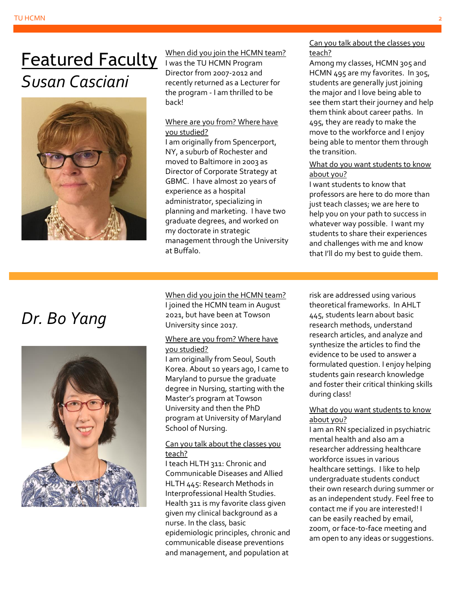## Featured Faculty *Susan Casciani*



When did you join the HCMN team? I was the TU HCMN Program Director from 2007-2012 and recently returned as a Lecturer for the program - I am thrilled to be back!

#### Where are you from? Where have you studied?

I am originally from Spencerport, NY, a suburb of Rochester and moved to Baltimore in 2003 as Director of Corporate Strategy at GBMC. I have almost 20 years of experience as a hospital administrator, specializing in planning and marketing. I have two graduate degrees, and worked on my doctorate in strategic management through the University at Buffalo.

Can you talk about the classes you teach?

Among my classes, HCMN 305 and HCMN 495 are my favorites. In 305, students are generally just joining the major and I love being able to see them start their journey and help them think about career paths. In 495, they are ready to make the move to the workforce and I enjoy being able to mentor them through the transition.

#### What do you want students to know about you?

I want students to know that professors are here to do more than just teach classes; we are here to help you on your path to success in whatever way possible. I want my students to share their experiences and challenges with me and know that I'll do my best to guide them.

### *Dr. Bo Yang*



When did you join the HCMN team? I joined the HCMN team in August 2021, but have been at Towson University since 2017.

#### Where are you from? Where have you studied?

I am originally from Seoul, South Korea. About 10 years ago, I came to Maryland to pursue the graduate degree in Nursing, starting with the Master's program at Towson University and then the PhD program at University of Maryland School of Nursing.

#### Can you talk about the classes you teach?

I teach HLTH 311: Chronic and Communicable Diseases and Allied HLTH 445: Research Methods in Interprofessional Health Studies. Health 311 is my favorite class given given my clinical background as a nurse. In the class, basic epidemiologic principles, chronic and communicable disease preventions and management, and population at

risk are addressed using various theoretical frameworks. In AHLT 445, students learn about basic research methods, understand research articles, and analyze and synthesize the articles to find the evidence to be used to answer a formulated question. I enjoy helping students gain research knowledge and foster their critical thinking skills during class!

#### What do you want students to know about you?

I am an RN specialized in psychiatric mental health and also am a researcher addressing healthcare workforce issues in various healthcare settings. I like to help undergraduate students conduct their own research during summer or as an independent study. Feel free to contact me if you are interested! I can be easily reached by email, zoom, or face-to-face meeting and am open to any ideas or suggestions.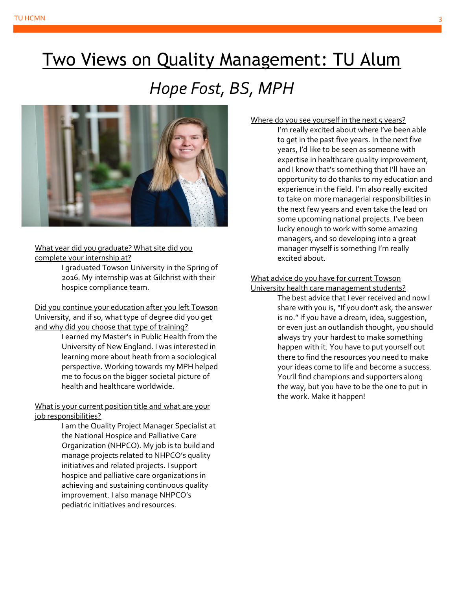# Two Views on Quality Management: TU Alum *Hope Fost, BS, MPH*



#### What year did you graduate? What site did you complete your internship at?

I graduated Towson University in the Spring of 2016. My internship was at Gilchrist with their hospice compliance team.

Did you continue your education after you left Towson University, and if so, what type of degree did you get and why did you choose that type of training?

I earned my Master's in Public Health from the University of New England. I was interested in learning more about heath from a sociological perspective. Working towards my MPH helped me to focus on the bigger societal picture of health and healthcare worldwide.

#### What is your current position title and what are your job responsibilities?

I am the Quality Project Manager Specialist at the National Hospice and Palliative Care Organization (NHPCO). My job is to build and manage projects related to NHPCO's quality initiatives and related projects. I support hospice and palliative care organizations in achieving and sustaining continuous quality improvement. I also manage NHPCO's pediatric initiatives and resources.

#### Where do you see yourself in the next  $5$  years?

I'm really excited about where I've been able to get in the past five years. In the next five years, I'd like to be seen as someone with expertise in healthcare quality improvement, and I know that's something that I'll have an opportunity to do thanks to my education and experience in the field. I'm also really excited to take on more managerial responsibilities in the next few years and even take the lead on some upcoming national projects. I've been lucky enough to work with some amazing managers, and so developing into a great manager myself is something I'm really excited about.

#### What advice do you have for current Towson University health care management students?

The best advice that I ever received and now I share with you is, "If you don't ask, the answer is no." If you have a dream, idea, suggestion, or even just an outlandish thought, you should always try your hardest to make something happen with it. You have to put yourself out there to find the resources you need to make your ideas come to life and become a success. You'll find champions and supporters along the way, but you have to be the one to put in the work. Make it happen!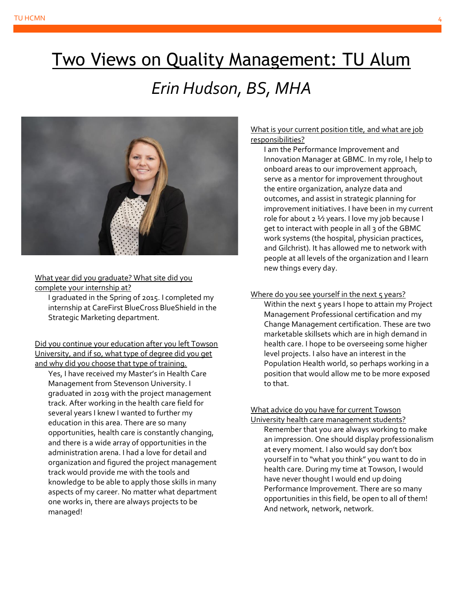# Two Views on Quality Management: TU Alum *Erin Hudson, BS, MHA*



What year did you graduate? What site did you complete your internship at?

I graduated in the Spring of 2015. I completed my internship at CareFirst BlueCross BlueShield in the Strategic Marketing department.

Did you continue your education after you left Towson University, and if so, what type of degree did you get and why did you choose that type of training.

Yes, I have received my Master's in Health Care Management from Stevenson University. I graduated in 2019 with the project management track. After working in the health care field for several years I knew I wanted to further my education in this area. There are so many opportunities, health care is constantly changing, and there is a wide array of opportunities in the administration arena. I had a love for detail and organization and figured the project management track would provide me with the tools and knowledge to be able to apply those skills in many aspects of my career. No matter what department one works in, there are always projects to be managed!

#### What is your current position title, and what are job responsibilities?

I am the Performance Improvement and Innovation Manager at GBMC. In my role, I help to onboard areas to our improvement approach, serve as a mentor for improvement throughout the entire organization, analyze data and outcomes, and assist in strategic planning for improvement initiatives. I have been in my current role for about 2 ½ years. I love my job because I get to interact with people in all 3 of the GBMC work systems (the hospital, physician practices, and Gilchrist). It has allowed me to network with people at all levels of the organization and I learn new things every day.

#### Where do you see yourself in the next 5 years?

Within the next 5 years I hope to attain my Project Management Professional certification and my Change Management certification. These are two marketable skillsets which are in high demand in health care. I hope to be overseeing some higher level projects. I also have an interest in the Population Health world, so perhaps working in a position that would allow me to be more exposed to that.

#### What advice do you have for current Towson University health care management students?

Remember that you are always working to make an impression. One should display professionalism at every moment. I also would say don't box yourself in to "what you think" you want to do in health care. During my time at Towson, I would have never thought I would end up doing Performance Improvement. There are so many opportunities in this field, be open to all of them! And network, network, network.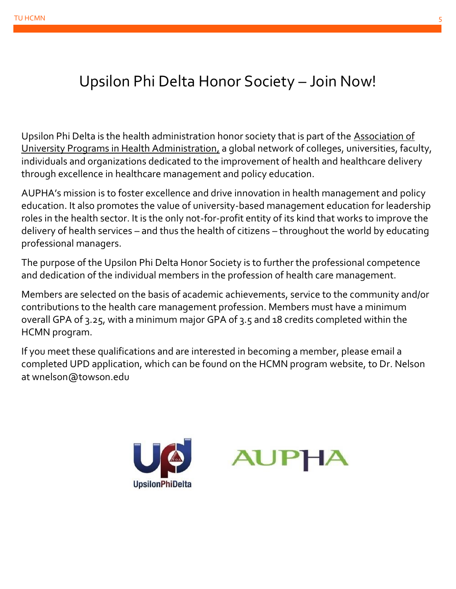### Upsilon Phi Delta Honor Society – Join Now!

Upsilon Phi Delta is the health administration honor society that is part of the [Association of](https://www.aupha.org/about/visionmissionvalues)  [University](https://www.aupha.org/about/visionmissionvalues) [Programs in Health](https://www.aupha.org/about/visionmissionvalues) [Administration,](https://www.aupha.org/about/visionmissionvalues) a global network of colleges, universities, faculty, individuals and organizations dedicated to the improvement of health and healthcare delivery through excellence in healthcare management and policy education.

AUPHA's mission is to foster excellence and drive innovation in health management and policy education. It also promotes the value of university-based management education for leadership roles in the health sector. It is the only not-for-profit entity of its kind that works to improve the delivery of health services – and thus the health of citizens – throughout the world by educating professional managers.

The purpose of the Upsilon Phi Delta Honor Society is to further the professional competence and dedication of the individual members in the profession of health care management.

Members are selected on the basis of academic achievements, service to the community and/or contributions to the health care management profession. Members must have a minimum overall GPA of 3.25, with a minimum major GPA of 3.5 and 18 credits completed within the HCMN program.

If you meet these qualifications and are interested in becoming a member, please email a completed UPD application, which can be found on the HCMN program website, to Dr. Nelson at wnelson@towson.edu